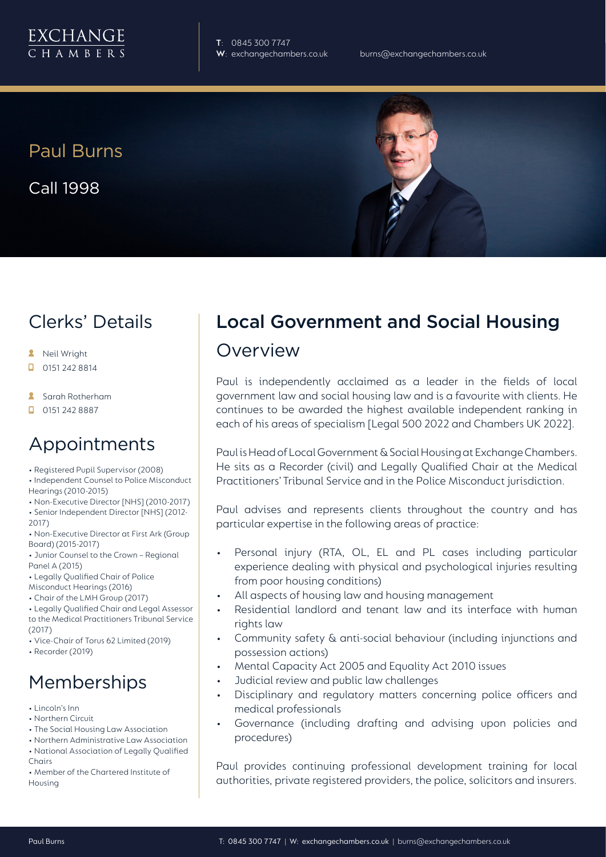

**T**: 0845 300 7747

# Paul Burns

Call 1998

### Clerks' Details

- **A** Neil Wright
- 0151 242 8814 п
- **Sarah Rotherham**
- $\Box$  0151 242 8887

#### Appointments

- Registered Pupil Supervisor (2008)
- Independent Counsel to Police Misconduct Hearings (2010-2015)
- Non-Executive Director [NHS] (2010-2017)
- Senior Independent Director [NHS] (2012- 2017)
- Non-Executive Director at First Ark (Group Board) (2015-2017)
- Junior Counsel to the Crown Regional Panel A (2015)
- Legally Qualified Chair of Police
- Misconduct Hearings (2016)
- Chair of the LMH Group (2017)
- Legally Qualified Chair and Legal Assessor to the Medical Practitioners Tribunal Service (2017)
- Vice-Chair of Torus 62 Limited (2019)
- Recorder (2019)

## Memberships

- Lincoln's Inn
- Northern Circuit
- The Social Housing Law Association
- Northern Administrative Law Association • National Association of Legally Qualified
- Chairs
- Member of the Chartered Institute of Housing

## Local Government and Social Housing Overview

Paul is independently acclaimed as a leader in the fields of local government law and social housing law and is a favourite with clients. He continues to be awarded the highest available independent ranking in each of his areas of specialism [Legal 500 2022 and Chambers UK 2022].

Paul is Head of Local Government & Social Housing at Exchange Chambers. He sits as a Recorder (civil) and Legally Qualified Chair at the Medical Practitioners' Tribunal Service and in the Police Misconduct jurisdiction.

Paul advises and represents clients throughout the country and has particular expertise in the following areas of practice:

- Personal injury (RTA, OL, EL and PL cases including particular experience dealing with physical and psychological injuries resulting from poor housing conditions)
- All aspects of housing law and housing management
- Residential landlord and tenant law and its interface with human rights law
- Community safety & anti-social behaviour (including injunctions and possession actions)
- Mental Capacity Act 2005 and Equality Act 2010 issues
- Judicial review and public law challenges
- Disciplinary and regulatory matters concerning police officers and medical professionals
- Governance (including drafting and advising upon policies and procedures)

Paul provides continuing professional development training for local authorities, private registered providers, the police, solicitors and insurers.